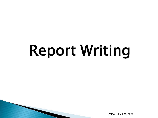# Report Writing

, YRSA April 20, 2022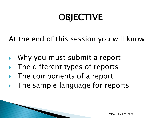# **OBJECTIVE**

At the end of this session you will know:

- Why you must submit a report
- The different types of reports
- The components of a report
- The sample language for reports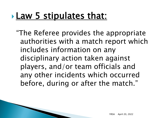### **Law 5 stipulates that:**

"The Referee provides the appropriate authorities with a match report which includes information on any disciplinary action taken against players, and/or team officials and any other incidents which occurred before, during or after the match."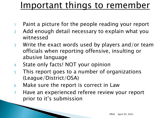### Important things to remember

- Paint a picture for the people reading your report
- <sup>2</sup> Add enough detail necessary to explain what you witnessed
- <sup>3</sup> Write the exact words used by players and/or team officials when reporting offensive, insulting or abusive language
- <sup>4</sup> State only facts! NOT your opinion
- <sup>5</sup> This report goes to a number of organizations (League/District/OSA)
- <sup>6</sup> Make sure the report is correct in Law
- <sup>7</sup> Have an experienced referee review your report prior to it's submission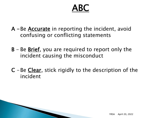### ABC

- $A Be$  Accurate in reporting the incident, avoid confusing or conflicting statements
- B Be Brief, you are required to report only the incident causing the misconduct
- $C$  -Be Clear, stick rigidly to the description of the incident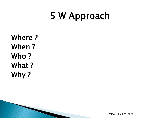### 5 W Approach

Where ? When ? Who ? What ? Why ?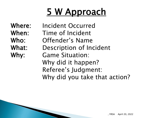# **5 W Approach**

Where: Incident Occurred When: Time of Incident Who: Offender's Name What: Description of Incident Why: Game Situation: Why did it happen? Referee's Judgment: Why did you take that action?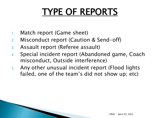# TYPE OF REPORTS

- 1. Match report (Game sheet)
- 2. Misconduct report (Caution & Send-off)
- 3. Assault report (Referee assault)
- 4. Special incident report (Abandoned game, Coach misconduct, Outside interference)
- 5. Any other unusual incident report (Flood lights failed, one of the team's did not show up; etc)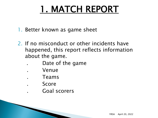# 1. MATCH REPORT

- 1. Better known as game sheet
- 2. If no misconduct or other incidents have happened, this report reflects information about the game.
	- Date of the game
	- . Venue
		- . Teams
	- . Score
	- . Goal scorers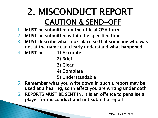### 2. MISCONDUCT REPORT CAUTION & SEND-OFF

- 1. MUST be submitted on the official OSA form
- 2. MUST be submitted within the specified time
- 3. MUST describe what took place so that someone who was not at the game can clearly understand what happened
- 4. MUST be: 1) Accurate
	- 2) Brief
	- 3) Clear
	- 4) Complete
	- 5) Understandable
- 5. Remember what you write down in such a report may be used at a hearing, so in effect you are writing under oath
- 6. REPORTS MUST BE SENT IN. It is an offence to penalise a player for misconduct and not submit a report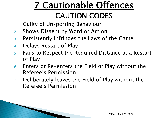### 7 Cautionable Offences CAUTION CODES

- <sup>1</sup> Guilty of Unsporting Behaviour
- <sup>2</sup> Shows Dissent by Word or Action
- <sup>3</sup> Persistently Infringes the Laws of the Game
- <sup>4</sup> Delays Restart of Play
- <sup>5</sup> Fails to Respect the Required Distance at a Restart of Play
- <sup>6</sup> Enters or Re-enters the Field of Play without the Referee's Permission
- <sup>7</sup> Deliberately leaves the Field of Play without the Referee's Permission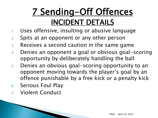### 7 Sending-Off Offences INCIDENT DETAILS

- 1 Uses offensive, insulting or abusive language
- <sup>2</sup> Spits at an opponent or any other person
- <sup>3</sup> Receives a second caution in the same game
- <sup>4</sup> Denies an opponent a goal or obvious goal-scoring opportunity by deliberately handling the ball
- <sup>5</sup> Denies an obvious goal-scoring opportunity to an opponent moving towards the player's goal by an offence punishable by a free kick or a penalty kick
- <sup>6</sup> Serious Foul Play
- <sup>7</sup> Violent Conduct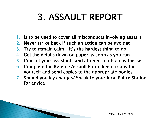### 3. ASSAULT REPORT

- 1. Is to be used to cover all misconducts involving assault
- 2. Never strike back if such an action can be avoided
- 3. Try to remain calm it's the hardest thing to do
- 4. Get the details down on paper as soon as you can
- 5. Consult your assistants and attempt to obtain witnesses
- 6. Complete the Referee Assault Form, keep a copy for yourself and send copies to the appropriate bodies
- 7. Should you lay charges? Speak to your local Police Station for advice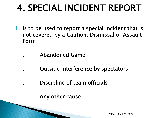### 4. SPECIAL INCIDENT REPORT

- 1. Is to be used to report a special incident that is not covered by a Caution, Dismissal or Assault Form
	- . Abandoned Game
		- . Outside interference by spectators
		- . Discipline of team officials
		- . Any other cause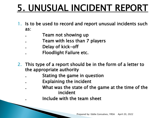# 5. UNUSUAL INCIDENT REPORT

- 1. Is to be used to record and report unusual incidents such as:
	- . Team not showing up
	- . Team with less than 7 players
	- Delay of kick-off
	- . Floodlight Failure etc.
- 2. This type of a report should be in the form of a letter to the appropriate authority
	- . Stating the game in question
	- . Explaining the incident
	- What was the state of the game at the time of the incident
	- . Include with the team sheet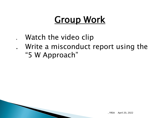### **Group Work**

- Watch the video clip
- . Write a misconduct report using the "5 W Approach"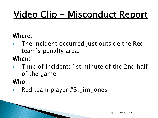# Video Clip - Misconduct Report

#### Where:

 The incident occurred just outside the Red team's penalty area.

#### When:

 Time of Incident: 1st minute of the 2nd half of the game

#### Who:

Red team player #3, Jim Jones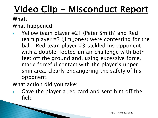# <u>Video Clip - Misconduct Report</u>

#### What:

What happened:

 Yellow team player #21 (Peter Smith) and Red team player #3 (Jim Jones) were contesting for the ball. Red team player #3 tackled his opponent with a double-footed unfair challenge with both feet off the ground and, using excessive force, made forceful contact with the player's upper shin area, clearly endangering the safety of his opponent.

What action did you take:

 Gave the player a red card and sent him off the field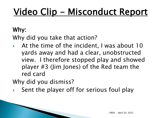# Video Clip - Misconduct Report

#### Why:

Why did you take that action?

 At the time of the incident, I was about 10 yards away and had a clear, unobstructed view. I therefore stopped play and showed player #3 (Jim Jones) of the Red team the red card

Why did you dismiss?

Sent the player off for serious foul play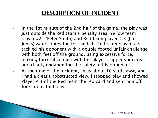#### DESCRIPTION OF INCIDENT

- In the 1st minute of the 2nd half of the game, the play was just outside the Red team's penalty area. Yellow team player  $\#21$  (Peter Smith) and Red team player  $\#3$  (Jim Jones) were contesting for the ball. Red team player  $# 3$ tackled his opponent with a double footed unfair challenge with both feet off the ground, using excessive force, making forceful contact with the player's upper shin area and clearly endangering the safety of his opponent.
- At the time of the incident, I was about 10 yards away and I had a clear unobstructed view. I stopped play and showed Player  $# 3$  of the Red team the red card and sent him off for serious foul play.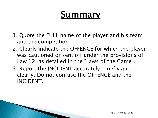- 1. Quote the FULL name of the player and his team and the competition.
- 2. Clearly indicate the OFFENCE for which the player was cautioned or sent off under the provisions of Law 12, as detailed in the "Laws of the Game".
- 3. Report the INCIDENT accurately, briefly and clearly. Do not confuse the OFFENCE and the INCIDENT.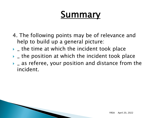- 4. The following points may be of relevance and help to build up a general picture:
- $\rightarrow$  the time at which the incident took place
- $\rightarrow$  the position at which the incident took place
- $\rightarrow$  \_ as referee, your position and distance from the incident.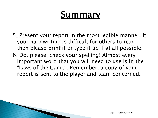5. Present your report in the most legible manner. If your handwriting is difficult for others to read, then please print it or type it up if at all possible. 6. Do, please, check your spelling! Almost every important word that you will need to use is in the "Laws of the Game". Remember, a copy of your report is sent to the player and team concerned.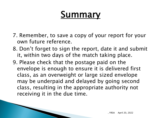- 7. Remember, to save a copy of your report for your own future reference.
- 8. Don't forget to sign the report, date it and submit it, within two days of the match taking place.
- 9. Please check that the postage paid on the envelope is enough to ensure it is delivered first class, as an overweight or large sized envelope may be underpaid and delayed by going second class, resulting in the appropriate authority not receiving it in the due time.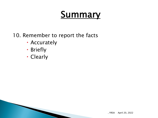#### 10. Remember to report the facts

- Accurately
- Briefly
- Clearly